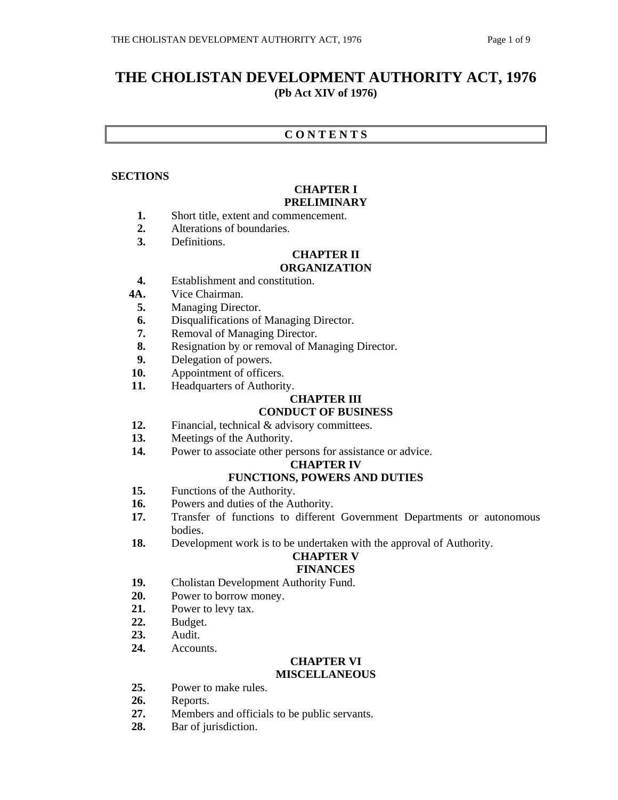# **THE CHOLISTAN DEVELOPMENT AUTHORITY ACT, 1976 (Pb Act XIV of 1976)**

## **C O N T E N T S**

## **SECTIONS**

#### **CHAPTER I PRELIMINARY**

- **1.** Short title, extent and commencement.
- **2.** Alterations of boundaries.
- **3.** Definitions.

## **CHAPTER II**

## **ORGANIZATION**

- **4.** Establishment and constitution.
- **4A.** Vice Chairman.
	- **5.** Managing Director.
	- **6.** Disqualifications of Managing Director.
	- **7.** Removal of Managing Director.
	- **8.** Resignation by or removal of Managing Director.
- **9.** Delegation of powers.
- **10.** Appointment of officers.
- **11.** Headquarters of Authority.

## **CHAPTER III**

## **CONDUCT OF BUSINESS**

- 12. Financial, technical & advisory committees.
- **13.** Meetings of the Authority.
- 14. Power to associate other persons for assistance or advice.

## **CHAPTER IV**

## **FUNCTIONS, POWERS AND DUTIES**

- **15.** Functions of the Authority.
- **16.** Powers and duties of the Authority.
- **17.** Transfer of functions to different Government Departments or autonomous bodies.
- **18.** Development work is to be undertaken with the approval of Authority.

## **CHAPTER V**

#### **FINANCES**

- **19.** Cholistan Development Authority Fund.
- **20.** Power to borrow money.
- **21.** Power to levy tax.
- **22.** Budget.
- **23.** Audit.
- **24.** Accounts.

## **CHAPTER VI**

## **MISCELLANEOUS**

- **25.** Power to make rules.
- **26.** Reports.
- **27.** Members and officials to be public servants.
- **28.** Bar of jurisdiction.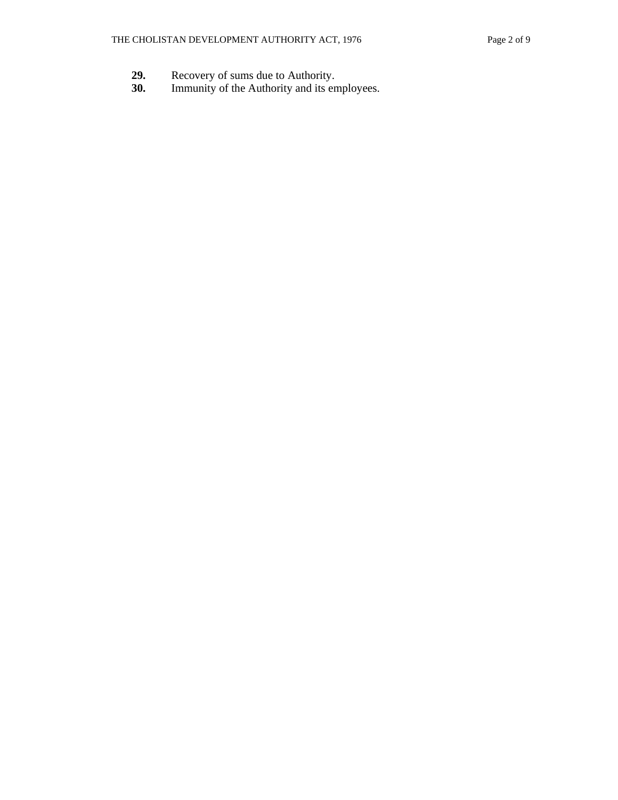- 29. Recovery of sums due to Authority.<br>**30.** Immunity of the Authority and its en
- Immunity of the Authority and its employees.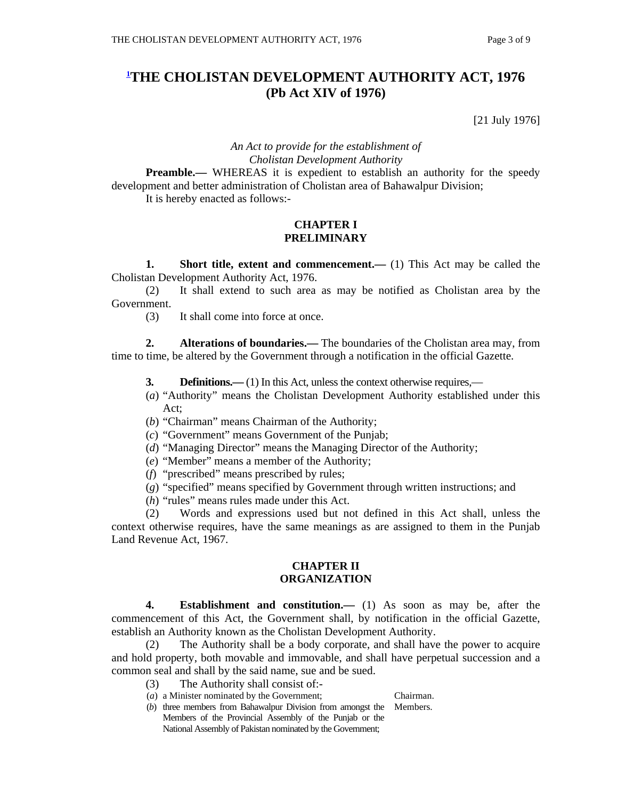# **1 THE CHOLISTAN DEVELOPMENT AUTHORITY ACT, 1976 (Pb Act XIV of 1976)**

[21 July 1976]

## *An Act to provide for the establishment of Cholistan Development Authority*

**Preamble.—** WHEREAS it is expedient to establish an authority for the speedy development and better administration of Cholistan area of Bahawalpur Division; It is hereby enacted as follows:-

#### **CHAPTER I PRELIMINARY**

**1.** Short title, extent and commencement.— (1) This Act may be called the Cholistan Development Authority Act, 1976.

 (2) It shall extend to such area as may be notified as Cholistan area by the Government.

(3) It shall come into force at once.

**2.** Alterations of boundaries.— The boundaries of the Cholistan area may, from time to time, be altered by the Government through a notification in the official Gazette.

- **3. Definitions.**—(1) In this Act, unless the context otherwise requires,—
- (*a*) "Authority" means the Cholistan Development Authority established under this Act;
- (*b*) "Chairman" means Chairman of the Authority;
- (*c*) "Government" means Government of the Punjab;
- (*d*) "Managing Director" means the Managing Director of the Authority;
- (*e*) "Member" means a member of the Authority;
- (*f*) "prescribed" means prescribed by rules;
- (*g*) "specified" means specified by Government through written instructions; and
- (*h*) "rules" means rules made under this Act.

 (2) Words and expressions used but not defined in this Act shall, unless the context otherwise requires, have the same meanings as are assigned to them in the Punjab Land Revenue Act, 1967.

#### **CHAPTER II ORGANIZATION**

 **4. Establishment and constitution.—** (1) As soon as may be, after the commencement of this Act, the Government shall, by notification in the official Gazette, establish an Authority known as the Cholistan Development Authority.

 (2) The Authority shall be a body corporate, and shall have the power to acquire and hold property, both movable and immovable, and shall have perpetual succession and a common seal and shall by the said name, sue and be sued.

- (3) The Authority shall consist of:-
- (*a*) a Minister nominated by the Government; Chairman.
- (*b*) three members from Bahawalpur Division from amongst the Members. Members of the Provincial Assembly of the Punjab or the National Assembly of Pakistan nominated by the Government;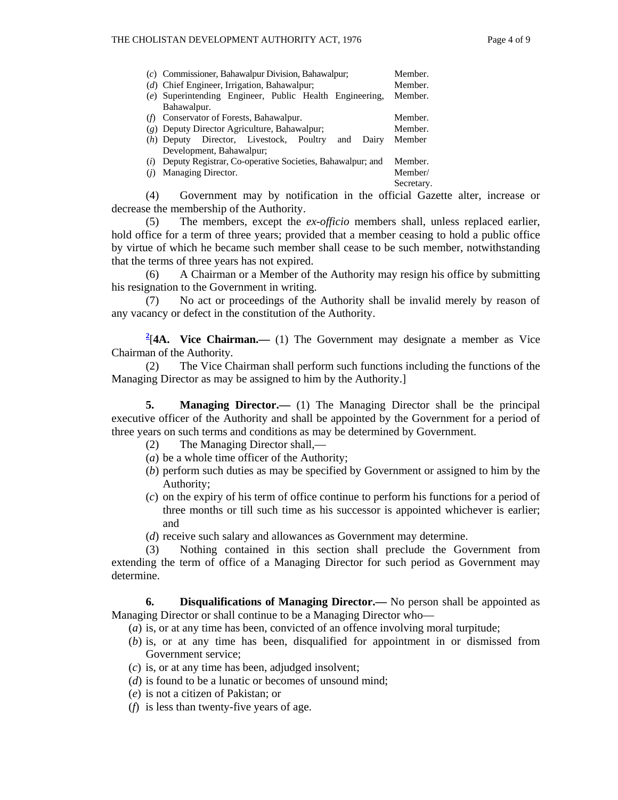| (c) Commissioner, Bahawalpur Division, Bahawalpur;                                  | Member.    |
|-------------------------------------------------------------------------------------|------------|
| (d) Chief Engineer, Irrigation, Bahawalpur;                                         | Member.    |
| (e) Superintending Engineer, Public Health Engineering,                             | Member.    |
| Bahawalpur.                                                                         |            |
| Conservator of Forests, Bahawalpur.                                                 | Member.    |
| (g) Deputy Director Agriculture, Bahawalpur;                                        | Member.    |
| Director, Livestock, Poultry<br>Dairy<br>$(h)$ Deputy<br>and                        | Member     |
| Development, Bahawalpur;                                                            |            |
| Deputy Registrar, Co-operative Societies, Bahawalpur; and<br>$\left( \iota \right)$ | Member.    |
| Managing Director.                                                                  | Member/    |
|                                                                                     | Secretary. |

 (4) Government may by notification in the official Gazette alter, increase or decrease the membership of the Authority.

 (5) The members, except the *ex-officio* members shall, unless replaced earlier, hold office for a term of three years; provided that a member ceasing to hold a public office by virtue of which he became such member shall cease to be such member, notwithstanding that the terms of three years has not expired.

 (6) A Chairman or a Member of the Authority may resign his office by submitting his resignation to the Government in writing.

 (7) No act or proceedings of the Authority shall be invalid merely by reason of any vacancy or defect in the constitution of the Authority.

<sup>2</sup><sup>(4</sup>A. Vice Chairman.— (1) The Government may designate a member as Vice Chairman of the Authority.

 (2) The Vice Chairman shall perform such functions including the functions of the Managing Director as may be assigned to him by the Authority.]

**5. Managing Director.**— (1) The Managing Director shall be the principal executive officer of the Authority and shall be appointed by the Government for a period of three years on such terms and conditions as may be determined by Government.

- (2) The Managing Director shall,—
- (*a*) be a whole time officer of the Authority;
- (*b*) perform such duties as may be specified by Government or assigned to him by the Authority;
- (*c*) on the expiry of his term of office continue to perform his functions for a period of three months or till such time as his successor is appointed whichever is earlier; and
- (*d*) receive such salary and allowances as Government may determine.

 (3) Nothing contained in this section shall preclude the Government from extending the term of office of a Managing Director for such period as Government may determine.

 **6. Disqualifications of Managing Director.—** No person shall be appointed as Managing Director or shall continue to be a Managing Director who—

- (*a*) is, or at any time has been, convicted of an offence involving moral turpitude;
- (*b*) is, or at any time has been, disqualified for appointment in or dismissed from Government service;
- (*c*) is, or at any time has been, adjudged insolvent;
- (*d*) is found to be a lunatic or becomes of unsound mind;
- (*e*) is not a citizen of Pakistan; or
- (*f*) is less than twenty-five years of age.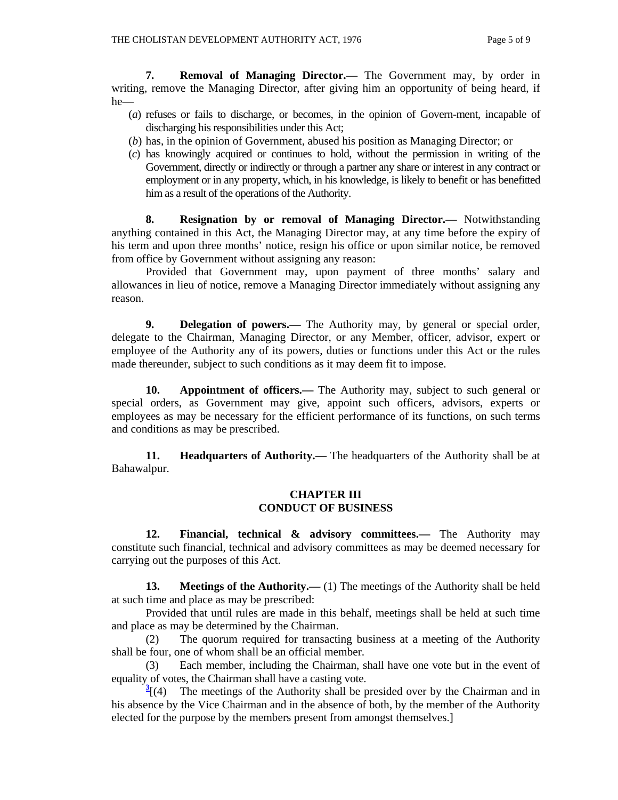**7. Removal of Managing Director.—** The Government may, by order in writing, remove the Managing Director, after giving him an opportunity of being heard, if he—

- (*a*) refuses or fails to discharge, or becomes, in the opinion of Govern-ment, incapable of discharging his responsibilities under this Act;
- (*b*) has, in the opinion of Government, abused his position as Managing Director; or
- (*c*) has knowingly acquired or continues to hold, without the permission in writing of the Government, directly or indirectly or through a partner any share or interest in any contract or employment or in any property, which, in his knowledge, is likely to benefit or has benefitted him as a result of the operations of the Authority.

 **8. Resignation by or removal of Managing Director.—** Notwithstanding anything contained in this Act, the Managing Director may, at any time before the expiry of his term and upon three months' notice, resign his office or upon similar notice, be removed from office by Government without assigning any reason:

 Provided that Government may, upon payment of three months' salary and allowances in lieu of notice, remove a Managing Director immediately without assigning any reason.

 **9. Delegation of powers.—** The Authority may, by general or special order, delegate to the Chairman, Managing Director, or any Member, officer, advisor, expert or employee of the Authority any of its powers, duties or functions under this Act or the rules made thereunder, subject to such conditions as it may deem fit to impose.

**10.** Appointment of officers.— The Authority may, subject to such general or special orders, as Government may give, appoint such officers, advisors, experts or employees as may be necessary for the efficient performance of its functions, on such terms and conditions as may be prescribed.

**11. Headquarters of Authority.—** The headquarters of the Authority shall be at Bahawalpur.

## **CHAPTER III CONDUCT OF BUSINESS**

 **12. Financial, technical & advisory committees.—** The Authority may constitute such financial, technical and advisory committees as may be deemed necessary for carrying out the purposes of this Act.

**13.** Meetings of the Authority.—— (1) The meetings of the Authority shall be held at such time and place as may be prescribed:

 Provided that until rules are made in this behalf, meetings shall be held at such time and place as may be determined by the Chairman.

 (2) The quorum required for transacting business at a meeting of the Authority shall be four, one of whom shall be an official member.

 (3) Each member, including the Chairman, shall have one vote but in the event of equality of votes, the Chairman shall have a casting vote.

 $\frac{3}{2}$  (4) The meetings of the Authority shall be presided over by the Chairman and in his absence by the Vice Chairman and in the absence of both, by the member of the Authority elected for the purpose by the members present from amongst themselves.]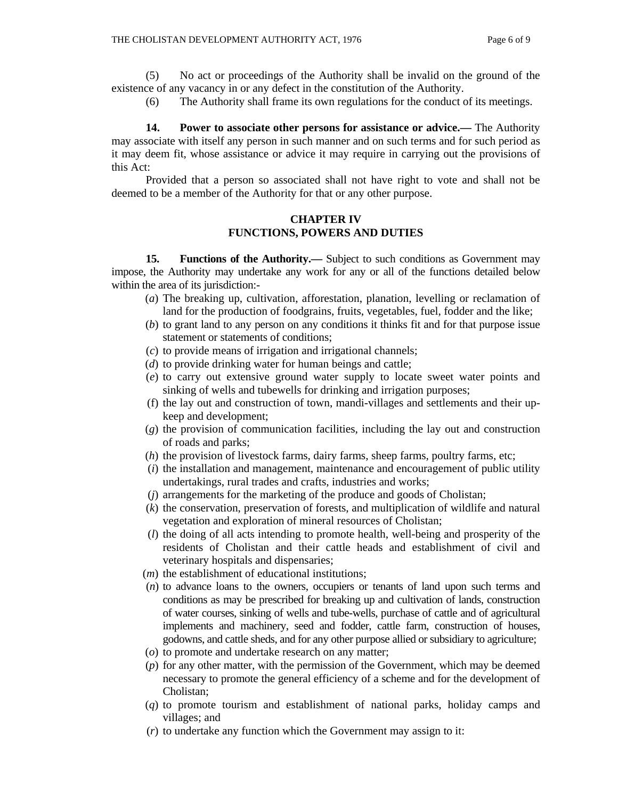(5) No act or proceedings of the Authority shall be invalid on the ground of the existence of any vacancy in or any defect in the constitution of the Authority.

(6) The Authority shall frame its own regulations for the conduct of its meetings.

 **14. Power to associate other persons for assistance or advice.—** The Authority may associate with itself any person in such manner and on such terms and for such period as it may deem fit, whose assistance or advice it may require in carrying out the provisions of this Act:

 Provided that a person so associated shall not have right to vote and shall not be deemed to be a member of the Authority for that or any other purpose.

## **CHAPTER IV FUNCTIONS, POWERS AND DUTIES**

**15. Functions of the Authority.**— Subject to such conditions as Government may impose, the Authority may undertake any work for any or all of the functions detailed below within the area of its jurisdiction:-

- (*a*) The breaking up, cultivation, afforestation, planation, levelling or reclamation of land for the production of foodgrains, fruits, vegetables, fuel, fodder and the like;
- (*b*) to grant land to any person on any conditions it thinks fit and for that purpose issue statement or statements of conditions;
- (*c*) to provide means of irrigation and irrigational channels;
- (*d*) to provide drinking water for human beings and cattle;
- (*e*) to carry out extensive ground water supply to locate sweet water points and sinking of wells and tubewells for drinking and irrigation purposes;
- (f) the lay out and construction of town, mandi-villages and settlements and their upkeep and development;
- (*g*) the provision of communication facilities, including the lay out and construction of roads and parks;
- (*h*) the provision of livestock farms, dairy farms, sheep farms, poultry farms, etc;
- (*i*) the installation and management, maintenance and encouragement of public utility undertakings, rural trades and crafts, industries and works;
- (*j*) arrangements for the marketing of the produce and goods of Cholistan;
- (*k*) the conservation, preservation of forests, and multiplication of wildlife and natural vegetation and exploration of mineral resources of Cholistan;
- (*l*) the doing of all acts intending to promote health, well-being and prosperity of the residents of Cholistan and their cattle heads and establishment of civil and veterinary hospitals and dispensaries;
- (*m*) the establishment of educational institutions;
- (*n*) to advance loans to the owners, occupiers or tenants of land upon such terms and conditions as may be prescribed for breaking up and cultivation of lands, construction of water courses, sinking of wells and tube-wells, purchase of cattle and of agricultural implements and machinery, seed and fodder, cattle farm, construction of houses, godowns, and cattle sheds, and for any other purpose allied or subsidiary to agriculture;
- (*o*) to promote and undertake research on any matter;
- (*p*) for any other matter, with the permission of the Government, which may be deemed necessary to promote the general efficiency of a scheme and for the development of Cholistan;
- (*q*) to promote tourism and establishment of national parks, holiday camps and villages; and
- (*r*) to undertake any function which the Government may assign to it: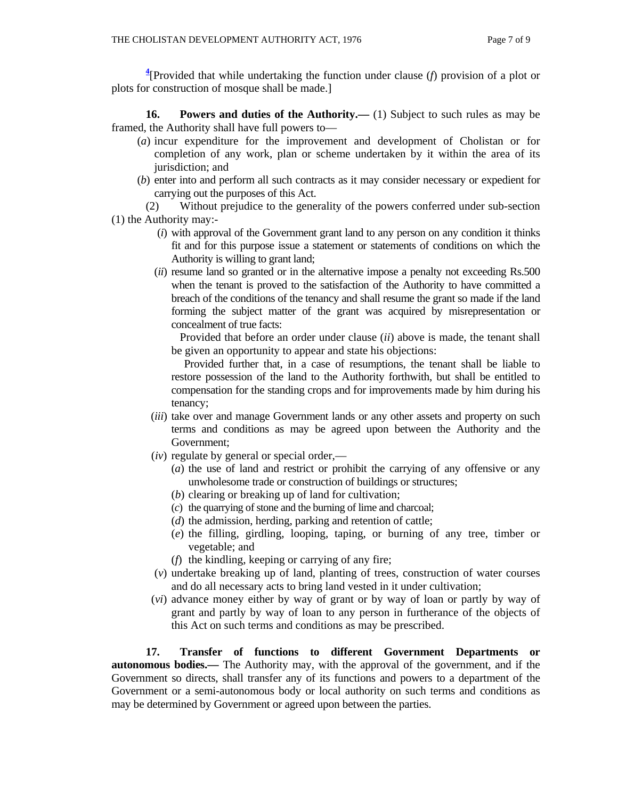**4** [Provided that while undertaking the function under clause (*f*) provision of a plot or plots for construction of mosque shall be made.]

**16.** Powers and duties of the Authority.— (1) Subject to such rules as may be framed, the Authority shall have full powers to—

- (*a*) incur expenditure for the improvement and development of Cholistan or for completion of any work, plan or scheme undertaken by it within the area of its jurisdiction; and
- (*b*) enter into and perform all such contracts as it may consider necessary or expedient for carrying out the purposes of this Act.

 (2) Without prejudice to the generality of the powers conferred under sub-section (1) the Authority may:-

- (*i*) with approval of the Government grant land to any person on any condition it thinks fit and for this purpose issue a statement or statements of conditions on which the Authority is willing to grant land;
- (*ii*) resume land so granted or in the alternative impose a penalty not exceeding Rs.500 when the tenant is proved to the satisfaction of the Authority to have committed a breach of the conditions of the tenancy and shall resume the grant so made if the land forming the subject matter of the grant was acquired by misrepresentation or concealment of true facts:

 Provided that before an order under clause (*ii*) above is made, the tenant shall be given an opportunity to appear and state his objections:

 Provided further that, in a case of resumptions, the tenant shall be liable to restore possession of the land to the Authority forthwith, but shall be entitled to compensation for the standing crops and for improvements made by him during his tenancy;

- (*iii*) take over and manage Government lands or any other assets and property on such terms and conditions as may be agreed upon between the Authority and the Government;
- (*iv*) regulate by general or special order,—
	- (*a*) the use of land and restrict or prohibit the carrying of any offensive or any unwholesome trade or construction of buildings or structures;
	- (*b*) clearing or breaking up of land for cultivation;
	- (*c*) the quarrying of stone and the burning of lime and charcoal;
	- (*d*) the admission, herding, parking and retention of cattle;
	- (*e*) the filling, girdling, looping, taping, or burning of any tree, timber or vegetable; and
	- (*f*) the kindling, keeping or carrying of any fire;
- (*v*) undertake breaking up of land, planting of trees, construction of water courses and do all necessary acts to bring land vested in it under cultivation;
- (*vi*) advance money either by way of grant or by way of loan or partly by way of grant and partly by way of loan to any person in furtherance of the objects of this Act on such terms and conditions as may be prescribed.

 **17. Transfer of functions to different Government Departments or autonomous bodies.—** The Authority may, with the approval of the government, and if the Government so directs, shall transfer any of its functions and powers to a department of the Government or a semi-autonomous body or local authority on such terms and conditions as may be determined by Government or agreed upon between the parties.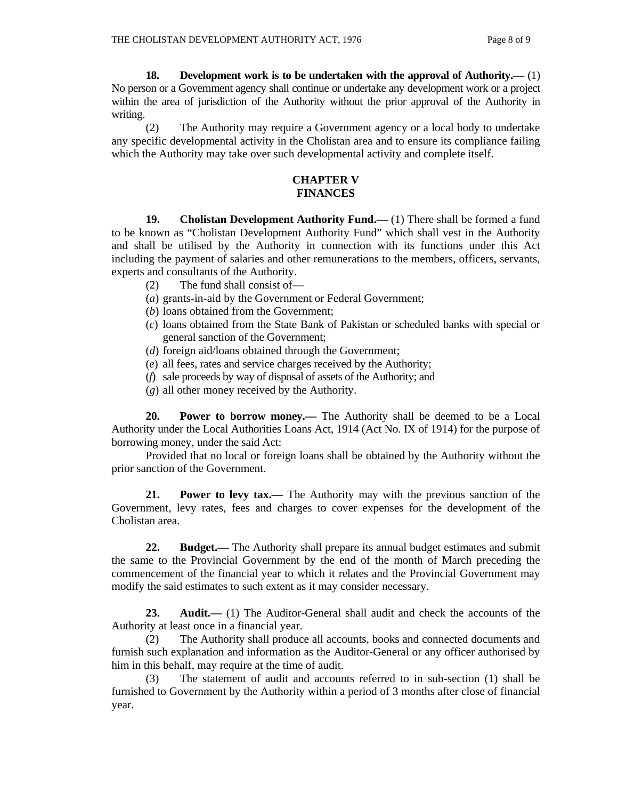**18. Development work is to be undertaken with the approval of Authority.—** (1) No person or a Government agency shall continue or undertake any development work or a project within the area of jurisdiction of the Authority without the prior approval of the Authority in writing.

 (2) The Authority may require a Government agency or a local body to undertake any specific developmental activity in the Cholistan area and to ensure its compliance failing which the Authority may take over such developmental activity and complete itself.

#### **CHAPTER V FINANCES**

 **19. Cholistan Development Authority Fund.**—(1) There shall be formed a fund to be known as "Cholistan Development Authority Fund" which shall vest in the Authority and shall be utilised by the Authority in connection with its functions under this Act including the payment of salaries and other remunerations to the members, officers, servants, experts and consultants of the Authority.

- (2) The fund shall consist of—
- (*a*) grants-in-aid by the Government or Federal Government;
- (*b*) loans obtained from the Government;
- (*c*) loans obtained from the State Bank of Pakistan or scheduled banks with special or general sanction of the Government;
- (*d*) foreign aid/loans obtained through the Government;
- (*e*) all fees, rates and service charges received by the Authority;
- (*f*) sale proceeds by way of disposal of assets of the Authority; and
- (*g*) all other money received by the Authority.

 **20. Power to borrow money.—** The Authority shall be deemed to be a Local Authority under the Local Authorities Loans Act, 1914 (Act No. IX of 1914) for the purpose of borrowing money, under the said Act:

 Provided that no local or foreign loans shall be obtained by the Authority without the prior sanction of the Government.

 **21. Power to levy tax.—** The Authority may with the previous sanction of the Government, levy rates, fees and charges to cover expenses for the development of the Cholistan area.

**22. Budget.**— The Authority shall prepare its annual budget estimates and submit the same to the Provincial Government by the end of the month of March preceding the commencement of the financial year to which it relates and the Provincial Government may modify the said estimates to such extent as it may consider necessary.

**23. Audit.**— (1) The Auditor-General shall audit and check the accounts of the Authority at least once in a financial year.

 (2) The Authority shall produce all accounts, books and connected documents and furnish such explanation and information as the Auditor-General or any officer authorised by him in this behalf, may require at the time of audit.

 (3) The statement of audit and accounts referred to in sub-section (1) shall be furnished to Government by the Authority within a period of 3 months after close of financial year.